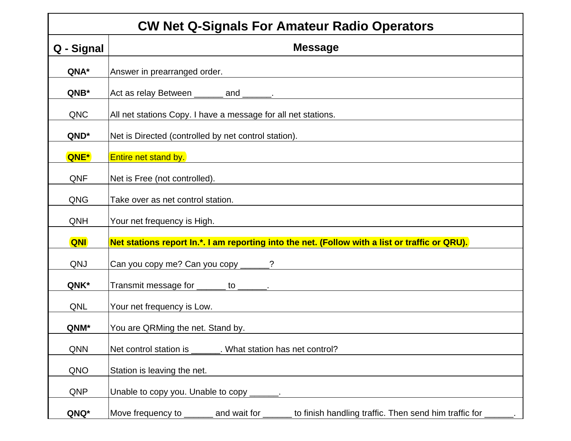| <b>CW Net Q-Signals For Amateur Radio Operators</b> |                                                                                          |  |
|-----------------------------------------------------|------------------------------------------------------------------------------------------|--|
| Q - Signal                                          | <b>Message</b>                                                                           |  |
| QNA*                                                | Answer in prearranged order.                                                             |  |
| QNB*                                                | Act as relay Between _______ and _______.                                                |  |
| QNC                                                 | All net stations Copy. I have a message for all net stations.                            |  |
| QND*                                                | Net is Directed (controlled by net control station).                                     |  |
| QNE*                                                | <b>Entire net stand by.</b>                                                              |  |
| QNF                                                 | Net is Free (not controlled).                                                            |  |
| QNG                                                 | Take over as net control station.                                                        |  |
| QNH                                                 | Your net frequency is High.                                                              |  |
| QNI                                                 | Net stations report In.*. I am reporting into the net. (Follow with a list or traffic or |  |
| QNJ                                                 | Can you copy me? Can you copy ______?                                                    |  |
| QNK*                                                | Transmit message for _______ to ______.                                                  |  |
| QNL                                                 | Your net frequency is Low.<br><u> 1989 - Johann Stein, fransk politik (f. 1989)</u>      |  |
| QNM*                                                | You are QRMing the net. Stand by.                                                        |  |
| QNN                                                 | Net control station is _______. What station has net control?                            |  |
| QNO                                                 | Station is leaving the net.                                                              |  |
| QNP                                                 |                                                                                          |  |
| QNQ*                                                | Move frequency to ______ and wait for _____ to finish handling traffic. Then send hir    |  |